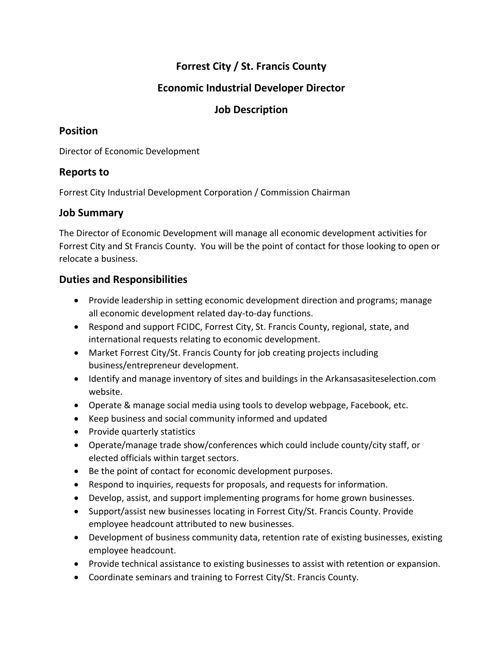# **Forrest City / St. Francis County**

# **Economic Industrial Developer Director**

### **Job Description**

#### **Position**

Director of Economic Development

## **Reports to**

Forrest City Industrial Development Corporation / Commission Chairman

### **Job Summary**

The Director of Economic Development will manage all economic development activities for Forrest City and St Francis County. You will be the point of contact for those looking to open or relocate a business.

### **Duties and Responsibilities**

- Provide leadership in setting economic development direction and programs; manage all economic development related day-to-day functions.
- Respond and support FCIDC, Forrest City, St. Francis County, regional, state, and international requests relating to economic development.
- Market Forrest City/St. Francis County for job creating projects including business/entrepreneur development.
- Identify and manage inventory of sites and buildings in the Arkansasasiteselection.com website.
- Operate & manage social media using tools to develop webpage, Facebook, etc.
- Keep business and social community informed and updated
- Provide quarterly statistics
- Operate/manage trade show/conferences which could include county/city staff, or elected officials within target sectors.
- Be the point of contact for economic development purposes.
- Respond to inquiries, requests for proposals, and requests for information.
- Develop, assist, and support implementing programs for home grown businesses.
- Support/assist new businesses locating in Forrest City/St. Francis County. Provide employee headcount attributed to new businesses.
- Development of business community data, retention rate of existing businesses, existing employee headcount.
- Provide technical assistance to existing businesses to assist with retention or expansion.
- Coordinate seminars and training to Forrest City/St. Francis County.